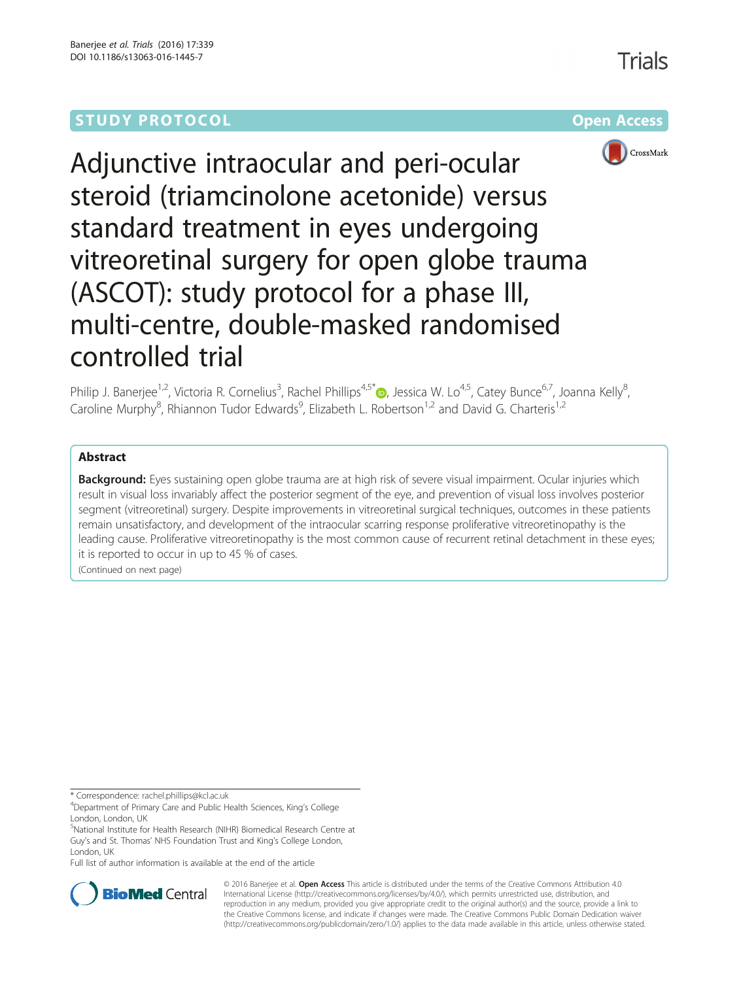# **STUDY PROTOCOL CONSUMING THE RESERVE ACCESS**



Trials

Adjunctive intraocular and peri-ocular steroid (triamcinolone acetonide) versus standard treatment in eyes undergoing vitreoretinal surgery for open globe trauma (ASCOT): study protocol for a phase III, multi-centre, double-masked randomised controlled trial

Philip J. Banerjee<sup>1[,](http://orcid.org/0000-0002-3634-7845)2</sup>, Victoria R. Cornelius<sup>3</sup>, Rachel Phillips<sup>4,5\*</sup>®, Jessica W. Lo<sup>4,5</sup>, Catey Bunce<sup>6,7</sup>, Joanna Kelly<sup>8</sup> , Caroline Murphy<sup>8</sup>, Rhiannon Tudor Edwards<sup>9</sup>, Elizabeth L. Robertson<sup>1,2</sup> and David G. Charteris<sup>1,2</sup>

# Abstract

Background: Eyes sustaining open globe trauma are at high risk of severe visual impairment. Ocular injuries which result in visual loss invariably affect the posterior segment of the eye, and prevention of visual loss involves posterior segment (vitreoretinal) surgery. Despite improvements in vitreoretinal surgical techniques, outcomes in these patients remain unsatisfactory, and development of the intraocular scarring response proliferative vitreoretinopathy is the leading cause. Proliferative vitreoretinopathy is the most common cause of recurrent retinal detachment in these eyes; it is reported to occur in up to 45 % of cases. (Continued on next page)

\* Correspondence: [rachel.phillips@kcl.ac.uk](mailto:rachel.phillips@kcl.ac.uk) <sup>4</sup>

Department of Primary Care and Public Health Sciences, King's College London, London, UK

5 National Institute for Health Research (NIHR) Biomedical Research Centre at Guy's and St. Thomas' NHS Foundation Trust and King's College London, London, UK

Full list of author information is available at the end of the article



© 2016 Baneriee et al. Open Access This article is distributed under the terms of the Creative Commons Attribution 4.0 International License [\(http://creativecommons.org/licenses/by/4.0/](http://creativecommons.org/licenses/by/4.0/)), which permits unrestricted use, distribution, and reproduction in any medium, provided you give appropriate credit to the original author(s) and the source, provide a link to the Creative Commons license, and indicate if changes were made. The Creative Commons Public Domain Dedication waiver [\(http://creativecommons.org/publicdomain/zero/1.0/](http://creativecommons.org/publicdomain/zero/1.0/)) applies to the data made available in this article, unless otherwise stated.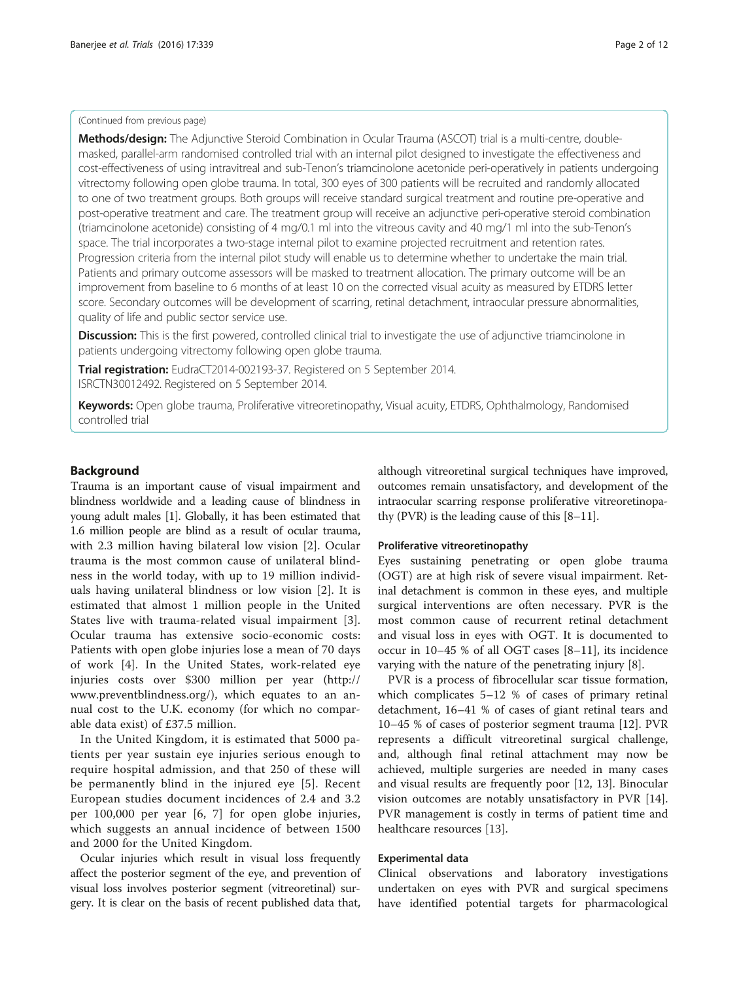### (Continued from previous page)

**Methods/design:** The Adjunctive Steroid Combination in Ocular Trauma (ASCOT) trial is a multi-centre, doublemasked, parallel-arm randomised controlled trial with an internal pilot designed to investigate the effectiveness and cost-effectiveness of using intravitreal and sub-Tenon's triamcinolone acetonide peri-operatively in patients undergoing vitrectomy following open globe trauma. In total, 300 eyes of 300 patients will be recruited and randomly allocated to one of two treatment groups. Both groups will receive standard surgical treatment and routine pre-operative and post-operative treatment and care. The treatment group will receive an adjunctive peri-operative steroid combination (triamcinolone acetonide) consisting of 4 mg/0.1 ml into the vitreous cavity and 40 mg/1 ml into the sub-Tenon's space. The trial incorporates a two-stage internal pilot to examine projected recruitment and retention rates. Progression criteria from the internal pilot study will enable us to determine whether to undertake the main trial. Patients and primary outcome assessors will be masked to treatment allocation. The primary outcome will be an improvement from baseline to 6 months of at least 10 on the corrected visual acuity as measured by ETDRS letter score. Secondary outcomes will be development of scarring, retinal detachment, intraocular pressure abnormalities, quality of life and public sector service use.

Discussion: This is the first powered, controlled clinical trial to investigate the use of adjunctive triamcinolone in patients undergoing vitrectomy following open globe trauma.

Trial registration: [EudraCT2014-002193-37.](https://www.clinicaltrialsregister.eu/ctr-search/trial/2014-002193-37/GB) Registered on 5 September 2014. [ISRCTN30012492.](http://www.isrctn.com/ISRCTN30012492) Registered on 5 September 2014.

Keywords: Open globe trauma, Proliferative vitreoretinopathy, Visual acuity, ETDRS, Ophthalmology, Randomised controlled trial

### Background

Trauma is an important cause of visual impairment and blindness worldwide and a leading cause of blindness in young adult males [\[1\]](#page-10-0). Globally, it has been estimated that 1.6 million people are blind as a result of ocular trauma, with 2.3 million having bilateral low vision [[2\]](#page-10-0). Ocular trauma is the most common cause of unilateral blindness in the world today, with up to 19 million individuals having unilateral blindness or low vision [[2\]](#page-10-0). It is estimated that almost 1 million people in the United States live with trauma-related visual impairment [\[3](#page-10-0)]. Ocular trauma has extensive socio-economic costs: Patients with open globe injuries lose a mean of 70 days of work [[4\]](#page-10-0). In the United States, work-related eye injuries costs over \$300 million per year ([http://](http://www.preventblindness.org/) [www.preventblindness.org/\)](http://www.preventblindness.org/), which equates to an annual cost to the U.K. economy (for which no comparable data exist) of £37.5 million.

In the United Kingdom, it is estimated that 5000 patients per year sustain eye injuries serious enough to require hospital admission, and that 250 of these will be permanently blind in the injured eye [[5](#page-10-0)]. Recent European studies document incidences of 2.4 and 3.2 per 100,000 per year [[6](#page-10-0), [7\]](#page-10-0) for open globe injuries, which suggests an annual incidence of between 1500 and 2000 for the United Kingdom.

Ocular injuries which result in visual loss frequently affect the posterior segment of the eye, and prevention of visual loss involves posterior segment (vitreoretinal) surgery. It is clear on the basis of recent published data that,

although vitreoretinal surgical techniques have improved, outcomes remain unsatisfactory, and development of the intraocular scarring response proliferative vitreoretinopathy (PVR) is the leading cause of this [\[8](#page-10-0)–[11\]](#page-10-0).

#### Proliferative vitreoretinopathy

Eyes sustaining penetrating or open globe trauma (OGT) are at high risk of severe visual impairment. Retinal detachment is common in these eyes, and multiple surgical interventions are often necessary. PVR is the most common cause of recurrent retinal detachment and visual loss in eyes with OGT. It is documented to occur in 10–45 % of all OGT cases [\[8](#page-10-0)–[11](#page-10-0)], its incidence varying with the nature of the penetrating injury [\[8](#page-10-0)].

PVR is a process of fibrocellular scar tissue formation, which complicates 5–12 % of cases of primary retinal detachment, 16–41 % of cases of giant retinal tears and 10–45 % of cases of posterior segment trauma [[12\]](#page-10-0). PVR represents a difficult vitreoretinal surgical challenge, and, although final retinal attachment may now be achieved, multiple surgeries are needed in many cases and visual results are frequently poor [[12](#page-10-0), [13\]](#page-11-0). Binocular vision outcomes are notably unsatisfactory in PVR [\[14](#page-11-0)]. PVR management is costly in terms of patient time and healthcare resources [\[13](#page-11-0)].

### Experimental data

Clinical observations and laboratory investigations undertaken on eyes with PVR and surgical specimens have identified potential targets for pharmacological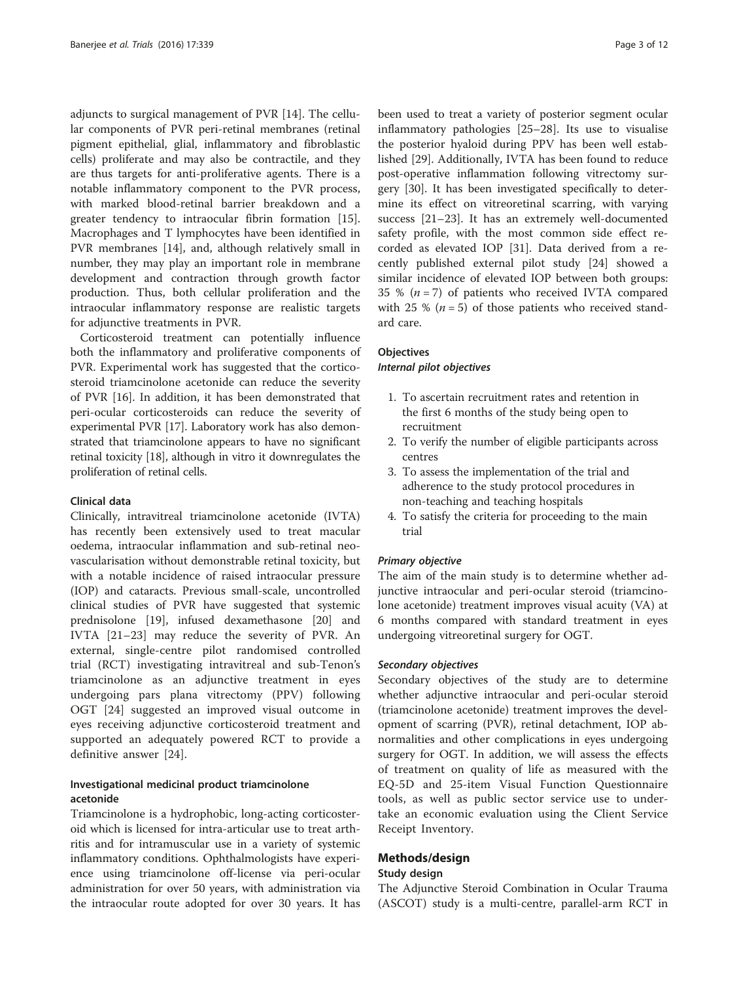adjuncts to surgical management of PVR [\[14](#page-11-0)]. The cellular components of PVR peri-retinal membranes (retinal pigment epithelial, glial, inflammatory and fibroblastic cells) proliferate and may also be contractile, and they are thus targets for anti-proliferative agents. There is a notable inflammatory component to the PVR process, with marked blood-retinal barrier breakdown and a greater tendency to intraocular fibrin formation [\[15](#page-11-0)]. Macrophages and T lymphocytes have been identified in PVR membranes [[14](#page-11-0)], and, although relatively small in number, they may play an important role in membrane development and contraction through growth factor production. Thus, both cellular proliferation and the intraocular inflammatory response are realistic targets for adjunctive treatments in PVR.

Corticosteroid treatment can potentially influence both the inflammatory and proliferative components of PVR. Experimental work has suggested that the corticosteroid triamcinolone acetonide can reduce the severity of PVR [[16\]](#page-11-0). In addition, it has been demonstrated that peri-ocular corticosteroids can reduce the severity of experimental PVR [\[17\]](#page-11-0). Laboratory work has also demonstrated that triamcinolone appears to have no significant retinal toxicity [[18](#page-11-0)], although in vitro it downregulates the proliferation of retinal cells.

### Clinical data

Clinically, intravitreal triamcinolone acetonide (IVTA) has recently been extensively used to treat macular oedema, intraocular inflammation and sub-retinal neovascularisation without demonstrable retinal toxicity, but with a notable incidence of raised intraocular pressure (IOP) and cataracts. Previous small-scale, uncontrolled clinical studies of PVR have suggested that systemic prednisolone [\[19](#page-11-0)], infused dexamethasone [[20\]](#page-11-0) and IVTA [\[21](#page-11-0)–[23](#page-11-0)] may reduce the severity of PVR. An external, single-centre pilot randomised controlled trial (RCT) investigating intravitreal and sub-Tenon's triamcinolone as an adjunctive treatment in eyes undergoing pars plana vitrectomy (PPV) following OGT [[24](#page-11-0)] suggested an improved visual outcome in eyes receiving adjunctive corticosteroid treatment and supported an adequately powered RCT to provide a definitive answer [\[24](#page-11-0)].

### Investigational medicinal product triamcinolone acetonide

Triamcinolone is a hydrophobic, long-acting corticosteroid which is licensed for intra-articular use to treat arthritis and for intramuscular use in a variety of systemic inflammatory conditions. Ophthalmologists have experience using triamcinolone off-license via peri-ocular administration for over 50 years, with administration via the intraocular route adopted for over 30 years. It has

been used to treat a variety of posterior segment ocular inflammatory pathologies [[25](#page-11-0)–[28\]](#page-11-0). Its use to visualise the posterior hyaloid during PPV has been well established [[29\]](#page-11-0). Additionally, IVTA has been found to reduce post-operative inflammation following vitrectomy surgery [\[30](#page-11-0)]. It has been investigated specifically to determine its effect on vitreoretinal scarring, with varying success [[21](#page-11-0)–[23](#page-11-0)]. It has an extremely well-documented safety profile, with the most common side effect recorded as elevated IOP [[31](#page-11-0)]. Data derived from a recently published external pilot study [[24](#page-11-0)] showed a similar incidence of elevated IOP between both groups: 35 %  $(n = 7)$  of patients who received IVTA compared with 25 % ( $n = 5$ ) of those patients who received standard care.

### **Objectives**

### Internal pilot objectives

- 1. To ascertain recruitment rates and retention in the first 6 months of the study being open to recruitment
- 2. To verify the number of eligible participants across centres
- 3. To assess the implementation of the trial and adherence to the study protocol procedures in non-teaching and teaching hospitals
- 4. To satisfy the criteria for proceeding to the main trial

### Primary objective

The aim of the main study is to determine whether adjunctive intraocular and peri-ocular steroid (triamcinolone acetonide) treatment improves visual acuity (VA) at 6 months compared with standard treatment in eyes undergoing vitreoretinal surgery for OGT.

#### Secondary objectives

Secondary objectives of the study are to determine whether adjunctive intraocular and peri-ocular steroid (triamcinolone acetonide) treatment improves the development of scarring (PVR), retinal detachment, IOP abnormalities and other complications in eyes undergoing surgery for OGT. In addition, we will assess the effects of treatment on quality of life as measured with the EQ-5D and 25-item Visual Function Questionnaire tools, as well as public sector service use to undertake an economic evaluation using the Client Service Receipt Inventory.

### Methods/design

### Study design

The Adjunctive Steroid Combination in Ocular Trauma (ASCOT) study is a multi-centre, parallel-arm RCT in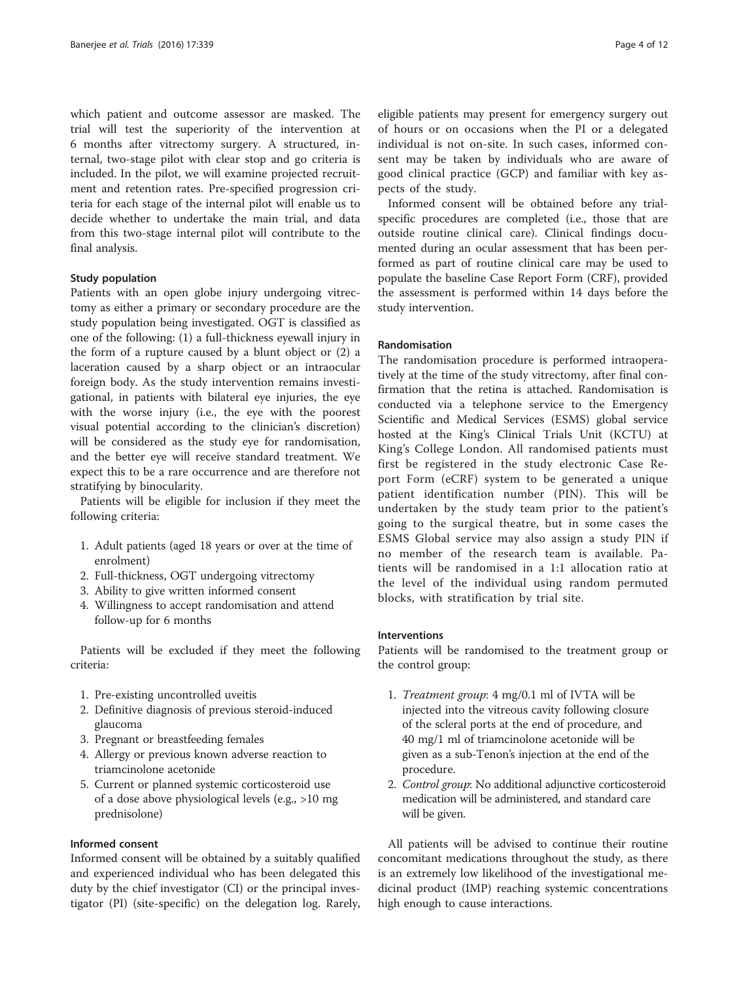which patient and outcome assessor are masked. The trial will test the superiority of the intervention at 6 months after vitrectomy surgery. A structured, internal, two-stage pilot with clear stop and go criteria is included. In the pilot, we will examine projected recruitment and retention rates. Pre-specified progression criteria for each stage of the internal pilot will enable us to decide whether to undertake the main trial, and data from this two-stage internal pilot will contribute to the final analysis.

### Study population

Patients with an open globe injury undergoing vitrectomy as either a primary or secondary procedure are the study population being investigated. OGT is classified as one of the following: (1) a full-thickness eyewall injury in the form of a rupture caused by a blunt object or (2) a laceration caused by a sharp object or an intraocular foreign body. As the study intervention remains investigational, in patients with bilateral eye injuries, the eye with the worse injury (i.e., the eye with the poorest visual potential according to the clinician's discretion) will be considered as the study eye for randomisation, and the better eye will receive standard treatment. We expect this to be a rare occurrence and are therefore not stratifying by binocularity.

Patients will be eligible for inclusion if they meet the following criteria:

- 1. Adult patients (aged 18 years or over at the time of enrolment)
- 2. Full-thickness, OGT undergoing vitrectomy
- 3. Ability to give written informed consent
- 4. Willingness to accept randomisation and attend follow-up for 6 months

Patients will be excluded if they meet the following criteria:

- 1. Pre-existing uncontrolled uveitis
- 2. Definitive diagnosis of previous steroid-induced glaucoma
- 3. Pregnant or breastfeeding females
- 4. Allergy or previous known adverse reaction to triamcinolone acetonide
- 5. Current or planned systemic corticosteroid use of a dose above physiological levels (e.g., >10 mg prednisolone)

### Informed consent

Informed consent will be obtained by a suitably qualified and experienced individual who has been delegated this duty by the chief investigator (CI) or the principal investigator (PI) (site-specific) on the delegation log. Rarely, eligible patients may present for emergency surgery out of hours or on occasions when the PI or a delegated individual is not on-site. In such cases, informed consent may be taken by individuals who are aware of good clinical practice (GCP) and familiar with key aspects of the study.

Informed consent will be obtained before any trialspecific procedures are completed (i.e., those that are outside routine clinical care). Clinical findings documented during an ocular assessment that has been performed as part of routine clinical care may be used to populate the baseline Case Report Form (CRF), provided the assessment is performed within 14 days before the study intervention.

### Randomisation

The randomisation procedure is performed intraoperatively at the time of the study vitrectomy, after final confirmation that the retina is attached. Randomisation is conducted via a telephone service to the Emergency Scientific and Medical Services (ESMS) global service hosted at the King's Clinical Trials Unit (KCTU) at King's College London. All randomised patients must first be registered in the study electronic Case Report Form (eCRF) system to be generated a unique patient identification number (PIN). This will be undertaken by the study team prior to the patient's going to the surgical theatre, but in some cases the ESMS Global service may also assign a study PIN if no member of the research team is available. Patients will be randomised in a 1:1 allocation ratio at the level of the individual using random permuted blocks, with stratification by trial site.

### Interventions

Patients will be randomised to the treatment group or the control group:

- 1. Treatment group: 4 mg/0.1 ml of IVTA will be injected into the vitreous cavity following closure of the scleral ports at the end of procedure, and 40 mg/1 ml of triamcinolone acetonide will be given as a sub-Tenon's injection at the end of the procedure.
- 2. Control group: No additional adjunctive corticosteroid medication will be administered, and standard care will be given.

All patients will be advised to continue their routine concomitant medications throughout the study, as there is an extremely low likelihood of the investigational medicinal product (IMP) reaching systemic concentrations high enough to cause interactions.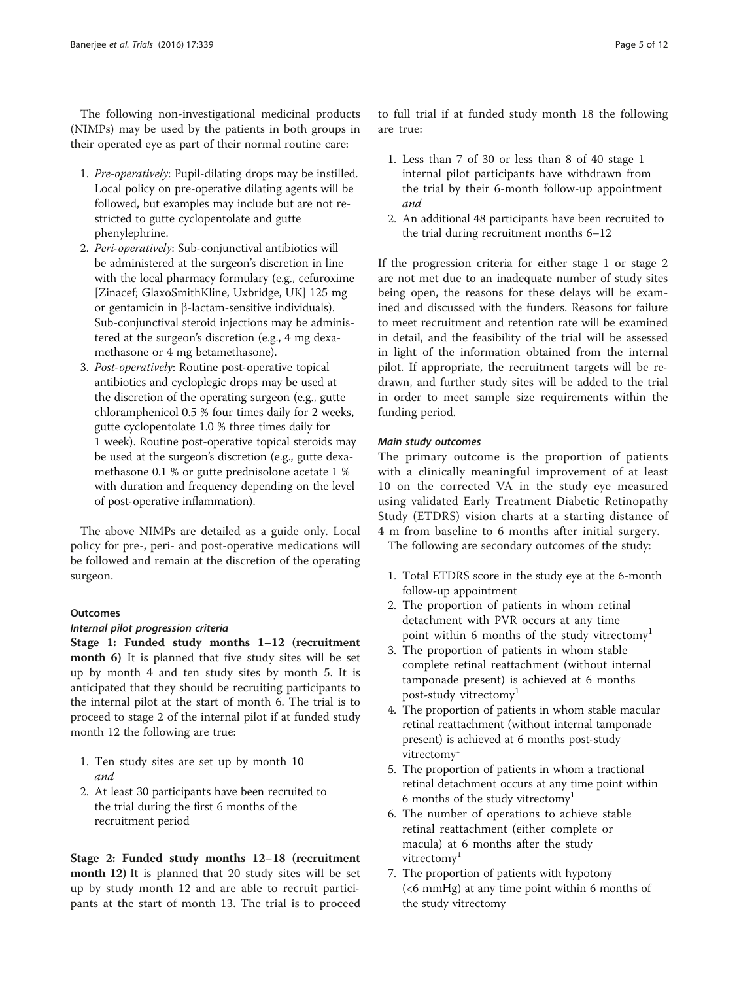The following non-investigational medicinal products (NIMPs) may be used by the patients in both groups in their operated eye as part of their normal routine care:

- 1. Pre-operatively: Pupil-dilating drops may be instilled. Local policy on pre-operative dilating agents will be followed, but examples may include but are not restricted to gutte cyclopentolate and gutte phenylephrine.
- 2. Peri-operatively: Sub-conjunctival antibiotics will be administered at the surgeon's discretion in line with the local pharmacy formulary (e.g., cefuroxime [Zinacef; GlaxoSmithKline, Uxbridge, UK] 125 mg or gentamicin in β-lactam-sensitive individuals). Sub-conjunctival steroid injections may be administered at the surgeon's discretion (e.g., 4 mg dexamethasone or 4 mg betamethasone).
- 3. Post-operatively: Routine post-operative topical antibiotics and cycloplegic drops may be used at the discretion of the operating surgeon (e.g., gutte chloramphenicol 0.5 % four times daily for 2 weeks, gutte cyclopentolate 1.0 % three times daily for 1 week). Routine post-operative topical steroids may be used at the surgeon's discretion (e.g., gutte dexamethasone 0.1 % or gutte prednisolone acetate 1 % with duration and frequency depending on the level of post-operative inflammation).

The above NIMPs are detailed as a guide only. Local policy for pre-, peri- and post-operative medications will be followed and remain at the discretion of the operating surgeon.

### **Outcomes**

### Internal pilot progression criteria

Stage 1: Funded study months 1–12 (recruitment month 6) It is planned that five study sites will be set up by month 4 and ten study sites by month 5. It is anticipated that they should be recruiting participants to the internal pilot at the start of month 6. The trial is to proceed to stage 2 of the internal pilot if at funded study month 12 the following are true:

- 1. Ten study sites are set up by month 10 and
- 2. At least 30 participants have been recruited to the trial during the first 6 months of the recruitment period

Stage 2: Funded study months 12–18 (recruitment month 12) It is planned that 20 study sites will be set up by study month 12 and are able to recruit participants at the start of month 13. The trial is to proceed

to full trial if at funded study month 18 the following are true:

- 1. Less than 7 of 30 or less than 8 of 40 stage 1 internal pilot participants have withdrawn from the trial by their 6-month follow-up appointment and
- 2. An additional 48 participants have been recruited to the trial during recruitment months 6–12

If the progression criteria for either stage 1 or stage 2 are not met due to an inadequate number of study sites being open, the reasons for these delays will be examined and discussed with the funders. Reasons for failure to meet recruitment and retention rate will be examined in detail, and the feasibility of the trial will be assessed in light of the information obtained from the internal pilot. If appropriate, the recruitment targets will be redrawn, and further study sites will be added to the trial in order to meet sample size requirements within the funding period.

### Main study outcomes

The primary outcome is the proportion of patients with a clinically meaningful improvement of at least 10 on the corrected VA in the study eye measured using validated Early Treatment Diabetic Retinopathy Study (ETDRS) vision charts at a starting distance of 4 m from baseline to 6 months after initial surgery.

The following are secondary outcomes of the study:

- 1. Total ETDRS score in the study eye at the 6-month follow-up appointment
- 2. The proportion of patients in whom retinal detachment with PVR occurs at any time point within 6 months of the study vitrectomy<sup>1</sup>
- 3. The proportion of patients in whom stable complete retinal reattachment (without internal tamponade present) is achieved at 6 months post-study vitrectomy<sup>1</sup>
- 4. The proportion of patients in whom stable macular retinal reattachment (without internal tamponade present) is achieved at 6 months post-study vitrectomy<sup>1</sup>
- 5. The proportion of patients in whom a tractional retinal detachment occurs at any time point within 6 months of the study vitrectomy<sup>1</sup>
- 6. The number of operations to achieve stable retinal reattachment (either complete or macula) at 6 months after the study vitrectomy<sup>1</sup>
- 7. The proportion of patients with hypotony (<6 mmHg) at any time point within 6 months of the study vitrectomy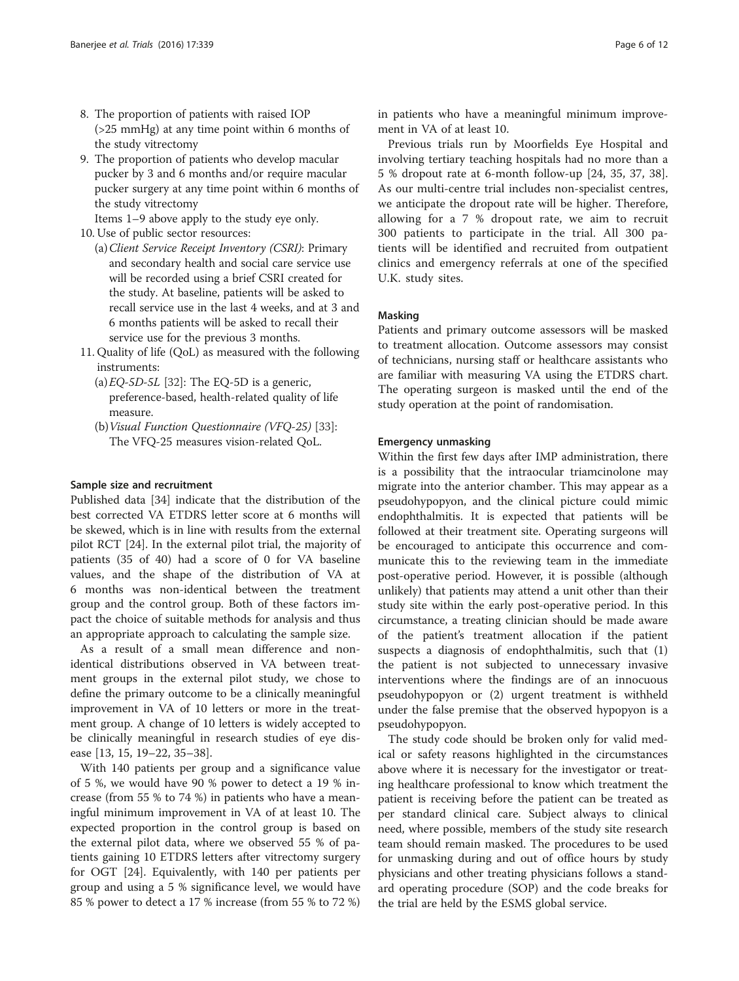- 8. The proportion of patients with raised IOP (>25 mmHg) at any time point within 6 months of the study vitrectomy
- 9. The proportion of patients who develop macular pucker by 3 and 6 months and/or require macular pucker surgery at any time point within 6 months of the study vitrectomy

Items 1–9 above apply to the study eye only.

- 10. Use of public sector resources:
	- (a)Client Service Receipt Inventory (CSRI): Primary and secondary health and social care service use will be recorded using a brief CSRI created for the study. At baseline, patients will be asked to recall service use in the last 4 weeks, and at 3 and 6 months patients will be asked to recall their service use for the previous 3 months.
- 11. Quality of life (QoL) as measured with the following instruments:
	- (a)  $EO-5D-5L$  [\[32\]](#page-11-0): The EQ-5D is a generic, preference-based, health-related quality of life measure.
	- (b)Visual Function Questionnaire (VFQ-25) [\[33\]](#page-11-0): The VFQ-25 measures vision-related QoL.

### Sample size and recruitment

Published data [[34](#page-11-0)] indicate that the distribution of the best corrected VA ETDRS letter score at 6 months will be skewed, which is in line with results from the external pilot RCT [\[24\]](#page-11-0). In the external pilot trial, the majority of patients (35 of 40) had a score of 0 for VA baseline values, and the shape of the distribution of VA at 6 months was non-identical between the treatment group and the control group. Both of these factors impact the choice of suitable methods for analysis and thus an appropriate approach to calculating the sample size.

As a result of a small mean difference and nonidentical distributions observed in VA between treatment groups in the external pilot study, we chose to define the primary outcome to be a clinically meaningful improvement in VA of 10 letters or more in the treatment group. A change of 10 letters is widely accepted to be clinically meaningful in research studies of eye disease [[13, 15, 19](#page-11-0)–[22](#page-11-0), [35](#page-11-0)–[38\]](#page-11-0).

With 140 patients per group and a significance value of 5 %, we would have 90 % power to detect a 19 % increase (from 55 % to 74 %) in patients who have a meaningful minimum improvement in VA of at least 10. The expected proportion in the control group is based on the external pilot data, where we observed 55 % of patients gaining 10 ETDRS letters after vitrectomy surgery for OGT [[24\]](#page-11-0). Equivalently, with 140 per patients per group and using a 5 % significance level, we would have 85 % power to detect a 17 % increase (from 55 % to 72 %)

in patients who have a meaningful minimum improvement in VA of at least 10.

Previous trials run by Moorfields Eye Hospital and involving tertiary teaching hospitals had no more than a 5 % dropout rate at 6-month follow-up [\[24](#page-11-0), [35, 37, 38](#page-11-0)]. As our multi-centre trial includes non-specialist centres, we anticipate the dropout rate will be higher. Therefore, allowing for a 7 % dropout rate, we aim to recruit 300 patients to participate in the trial. All 300 patients will be identified and recruited from outpatient clinics and emergency referrals at one of the specified U.K. study sites.

### Masking

Patients and primary outcome assessors will be masked to treatment allocation. Outcome assessors may consist of technicians, nursing staff or healthcare assistants who are familiar with measuring VA using the ETDRS chart. The operating surgeon is masked until the end of the study operation at the point of randomisation.

### Emergency unmasking

Within the first few days after IMP administration, there is a possibility that the intraocular triamcinolone may migrate into the anterior chamber. This may appear as a pseudohypopyon, and the clinical picture could mimic endophthalmitis. It is expected that patients will be followed at their treatment site. Operating surgeons will be encouraged to anticipate this occurrence and communicate this to the reviewing team in the immediate post-operative period. However, it is possible (although unlikely) that patients may attend a unit other than their study site within the early post-operative period. In this circumstance, a treating clinician should be made aware of the patient's treatment allocation if the patient suspects a diagnosis of endophthalmitis, such that (1) the patient is not subjected to unnecessary invasive interventions where the findings are of an innocuous pseudohypopyon or (2) urgent treatment is withheld under the false premise that the observed hypopyon is a pseudohypopyon.

The study code should be broken only for valid medical or safety reasons highlighted in the circumstances above where it is necessary for the investigator or treating healthcare professional to know which treatment the patient is receiving before the patient can be treated as per standard clinical care. Subject always to clinical need, where possible, members of the study site research team should remain masked. The procedures to be used for unmasking during and out of office hours by study physicians and other treating physicians follows a standard operating procedure (SOP) and the code breaks for the trial are held by the ESMS global service.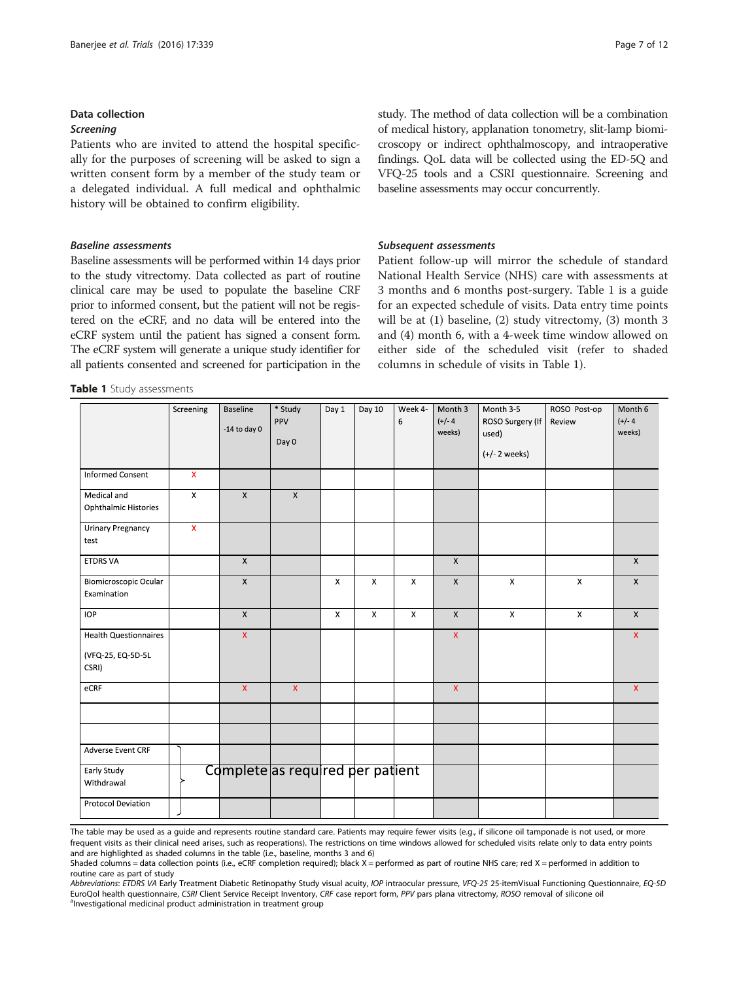## Data collection

### Screening

Patients who are invited to attend the hospital specifically for the purposes of screening will be asked to sign a written consent form by a member of the study team or a delegated individual. A full medical and ophthalmic history will be obtained to confirm eligibility.

### Baseline assessments

Baseline assessments will be performed within 14 days prior to the study vitrectomy. Data collected as part of routine clinical care may be used to populate the baseline CRF prior to informed consent, but the patient will not be registered on the eCRF, and no data will be entered into the eCRF system until the patient has signed a consent form. The eCRF system will generate a unique study identifier for all patients consented and screened for participation in the

### Table 1 Study assessments

study. The method of data collection will be a combination of medical history, applanation tonometry, slit-lamp biomicroscopy or indirect ophthalmoscopy, and intraoperative findings. QoL data will be collected using the ED-5Q and VFQ-25 tools and a CSRI questionnaire. Screening and baseline assessments may occur concurrently.

### Subsequent assessments

Patient follow-up will mirror the schedule of standard National Health Service (NHS) care with assessments at 3 months and 6 months post-surgery. Table 1 is a guide for an expected schedule of visits. Data entry time points will be at (1) baseline, (2) study vitrectomy, (3) month 3 and (4) month 6, with a 4-week time window allowed on either side of the scheduled visit (refer to shaded columns in schedule of visits in Table 1).

|                                                            | Screening    | Baseline<br>$-14$ to day 0       | * Study<br>PPV<br>Day 0 | Day 1          | Day 10       | Week 4-<br>6 | Month 3<br>$(+/- 4)$<br>weeks) | Month 3-5<br>ROSO Surgery (If<br>used)<br>$(+/- 2$ weeks) | ROSO Post-op<br>Review | Month 6<br>$(+/- 4)$<br>weeks) |
|------------------------------------------------------------|--------------|----------------------------------|-------------------------|----------------|--------------|--------------|--------------------------------|-----------------------------------------------------------|------------------------|--------------------------------|
| <b>Informed Consent</b>                                    | $\mathsf{X}$ |                                  |                         |                |              |              |                                |                                                           |                        |                                |
| Medical and<br><b>Ophthalmic Histories</b>                 | $\mathsf{x}$ | $\mathsf{x}$                     | $\pmb{\times}$          |                |              |              |                                |                                                           |                        |                                |
| <b>Urinary Pregnancy</b><br>test                           | X.           |                                  |                         |                |              |              |                                |                                                           |                        |                                |
| <b>ETDRS VA</b>                                            |              | $\mathsf{x}$                     |                         |                |              |              | $\mathsf{X}$                   |                                                           |                        | $\mathsf{x}$                   |
| Biomicroscopic Ocular<br>Examination                       |              | $\overline{X}$                   |                         | $\mathsf{x}$   | $\mathsf{X}$ | $\mathsf{x}$ | $\pmb{\times}$                 | $\overline{x}$                                            | $\overline{x}$         | $\mathsf X$                    |
| <b>IOP</b>                                                 |              | $\boldsymbol{\mathsf{X}}$        |                         | $\pmb{\times}$ | $\pmb{\chi}$ | $\pmb{\chi}$ | $\mathsf{X}$                   | $\pmb{\chi}$                                              | $\pmb{\times}$         | $\pmb{\times}$                 |
| <b>Health Questionnaires</b><br>(VFQ-25, EQ-5D-5L<br>CSRI) |              | $\mathsf{X}$                     |                         |                |              |              | $\pmb{\chi}$                   |                                                           |                        | $\mathsf{X}$                   |
| eCRF                                                       |              | $\overline{X}$                   | $\mathsf{X}$            |                |              |              | $\mathsf{X}$                   |                                                           |                        | $\mathsf{X}$                   |
|                                                            |              |                                  |                         |                |              |              |                                |                                                           |                        |                                |
| Adverse Event CRF                                          |              |                                  |                         |                |              |              |                                |                                                           |                        |                                |
| Early Study<br>Withdrawal                                  |              | Complete as required per patient |                         |                |              |              |                                |                                                           |                        |                                |
| <b>Protocol Deviation</b>                                  |              |                                  |                         |                |              |              |                                |                                                           |                        |                                |

The table may be used as a guide and represents routine standard care. Patients may require fewer visits (e.g., if silicone oil tamponade is not used, or more frequent visits as their clinical need arises, such as reoperations). The restrictions on time windows allowed for scheduled visits relate only to data entry points and are highlighted as shaded columns in the table (i.e., baseline, months 3 and 6)

Shaded columns = data collection points (i.e., eCRF completion required); black X = performed as part of routine NHS care; red X = performed in addition to routine care as part of study

Abbreviations: ETDRS VA Early Treatment Diabetic Retinopathy Study visual acuity, IOP intraocular pressure, VFQ-25 25-itemVisual Functioning Questionnaire, EQ-5D EuroQol health questionnaire, CSRI Client Service Receipt Inventory, CRF case report form, PPV pars plana vitrectomy, ROSO removal of silicone oil <sup>a</sup>Investigational medicinal product administration in treatment group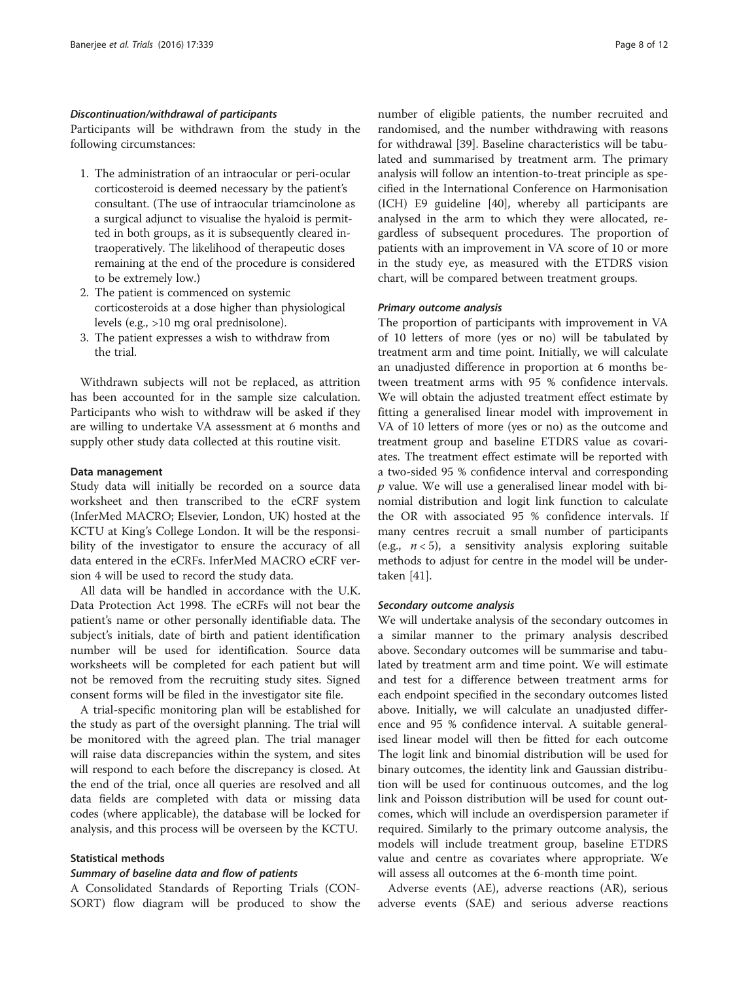### Discontinuation/withdrawal of participants

Participants will be withdrawn from the study in the following circumstances:

- 1. The administration of an intraocular or peri-ocular corticosteroid is deemed necessary by the patient's consultant. (The use of intraocular triamcinolone as a surgical adjunct to visualise the hyaloid is permitted in both groups, as it is subsequently cleared intraoperatively. The likelihood of therapeutic doses remaining at the end of the procedure is considered to be extremely low.)
- 2. The patient is commenced on systemic corticosteroids at a dose higher than physiological levels (e.g., >10 mg oral prednisolone).
- 3. The patient expresses a wish to withdraw from the trial.

Withdrawn subjects will not be replaced, as attrition has been accounted for in the sample size calculation. Participants who wish to withdraw will be asked if they are willing to undertake VA assessment at 6 months and supply other study data collected at this routine visit.

### Data management

Study data will initially be recorded on a source data worksheet and then transcribed to the eCRF system (InferMed MACRO; Elsevier, London, UK) hosted at the KCTU at King's College London. It will be the responsibility of the investigator to ensure the accuracy of all data entered in the eCRFs. InferMed MACRO eCRF version 4 will be used to record the study data.

All data will be handled in accordance with the U.K. Data Protection Act 1998. The eCRFs will not bear the patient's name or other personally identifiable data. The subject's initials, date of birth and patient identification number will be used for identification. Source data worksheets will be completed for each patient but will not be removed from the recruiting study sites. Signed consent forms will be filed in the investigator site file.

A trial-specific monitoring plan will be established for the study as part of the oversight planning. The trial will be monitored with the agreed plan. The trial manager will raise data discrepancies within the system, and sites will respond to each before the discrepancy is closed. At the end of the trial, once all queries are resolved and all data fields are completed with data or missing data codes (where applicable), the database will be locked for analysis, and this process will be overseen by the KCTU.

### Statistical methods

### Summary of baseline data and flow of patients

A Consolidated Standards of Reporting Trials (CON-SORT) flow diagram will be produced to show the number of eligible patients, the number recruited and randomised, and the number withdrawing with reasons for withdrawal [[39\]](#page-11-0). Baseline characteristics will be tabulated and summarised by treatment arm. The primary analysis will follow an intention-to-treat principle as specified in the International Conference on Harmonisation (ICH) E9 guideline [\[40](#page-11-0)], whereby all participants are analysed in the arm to which they were allocated, regardless of subsequent procedures. The proportion of patients with an improvement in VA score of 10 or more in the study eye, as measured with the ETDRS vision chart, will be compared between treatment groups.

#### Primary outcome analysis

The proportion of participants with improvement in VA of 10 letters of more (yes or no) will be tabulated by treatment arm and time point. Initially, we will calculate an unadjusted difference in proportion at 6 months between treatment arms with 95 % confidence intervals. We will obtain the adjusted treatment effect estimate by fitting a generalised linear model with improvement in VA of 10 letters of more (yes or no) as the outcome and treatment group and baseline ETDRS value as covariates. The treatment effect estimate will be reported with a two-sided 95 % confidence interval and corresponding  $p$  value. We will use a generalised linear model with binomial distribution and logit link function to calculate the OR with associated 95 % confidence intervals. If many centres recruit a small number of participants (e.g.,  $n < 5$ ), a sensitivity analysis exploring suitable methods to adjust for centre in the model will be undertaken [\[41\]](#page-11-0).

### Secondary outcome analysis

We will undertake analysis of the secondary outcomes in a similar manner to the primary analysis described above. Secondary outcomes will be summarise and tabulated by treatment arm and time point. We will estimate and test for a difference between treatment arms for each endpoint specified in the secondary outcomes listed above. Initially, we will calculate an unadjusted difference and 95 % confidence interval. A suitable generalised linear model will then be fitted for each outcome The logit link and binomial distribution will be used for binary outcomes, the identity link and Gaussian distribution will be used for continuous outcomes, and the log link and Poisson distribution will be used for count outcomes, which will include an overdispersion parameter if required. Similarly to the primary outcome analysis, the models will include treatment group, baseline ETDRS value and centre as covariates where appropriate. We will assess all outcomes at the 6-month time point.

Adverse events (AE), adverse reactions (AR), serious adverse events (SAE) and serious adverse reactions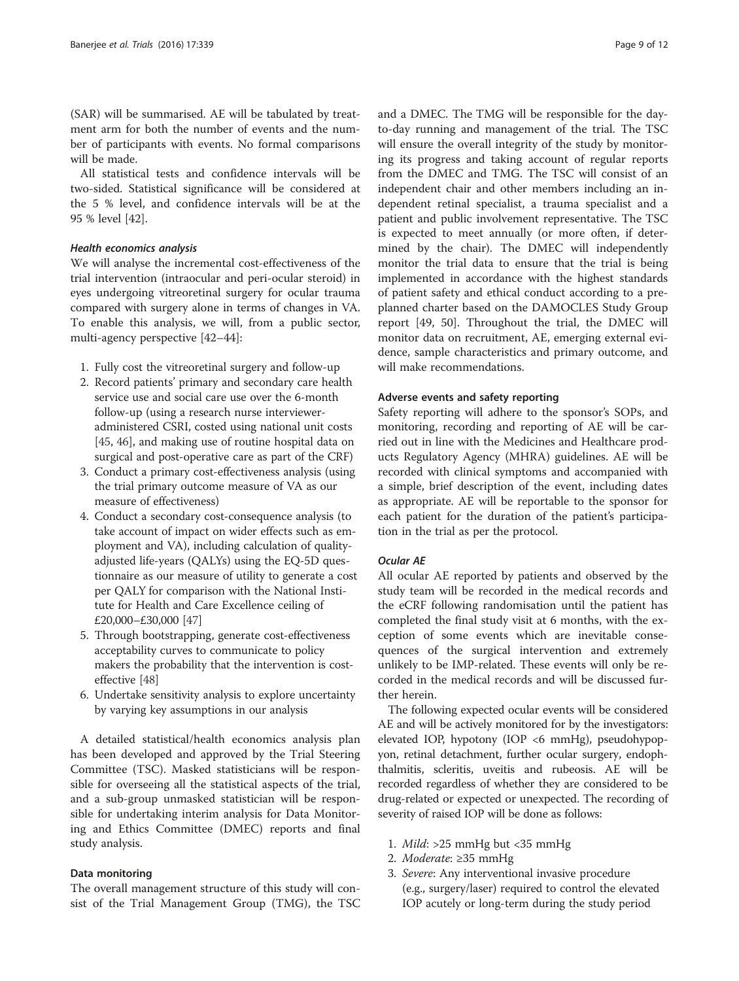(SAR) will be summarised. AE will be tabulated by treatment arm for both the number of events and the number of participants with events. No formal comparisons will be made.

All statistical tests and confidence intervals will be two-sided. Statistical significance will be considered at the 5 % level, and confidence intervals will be at the 95 % level [[42\]](#page-11-0).

### Health economics analysis

We will analyse the incremental cost-effectiveness of the trial intervention (intraocular and peri-ocular steroid) in eyes undergoing vitreoretinal surgery for ocular trauma compared with surgery alone in terms of changes in VA. To enable this analysis, we will, from a public sector, multi-agency perspective [[42](#page-11-0)–[44](#page-11-0)]:

- 1. Fully cost the vitreoretinal surgery and follow-up
- 2. Record patients' primary and secondary care health service use and social care use over the 6-month follow-up (using a research nurse intervieweradministered CSRI, costed using national unit costs [\[45](#page-11-0), [46\]](#page-11-0), and making use of routine hospital data on surgical and post-operative care as part of the CRF)
- 3. Conduct a primary cost-effectiveness analysis (using the trial primary outcome measure of VA as our measure of effectiveness)
- 4. Conduct a secondary cost-consequence analysis (to take account of impact on wider effects such as employment and VA), including calculation of qualityadjusted life-years (QALYs) using the EQ-5D questionnaire as our measure of utility to generate a cost per QALY for comparison with the National Institute for Health and Care Excellence ceiling of £20,000–£30,000 [\[47\]](#page-11-0)
- 5. Through bootstrapping, generate cost-effectiveness acceptability curves to communicate to policy makers the probability that the intervention is costeffective [\[48](#page-11-0)]
- 6. Undertake sensitivity analysis to explore uncertainty by varying key assumptions in our analysis

A detailed statistical/health economics analysis plan has been developed and approved by the Trial Steering Committee (TSC). Masked statisticians will be responsible for overseeing all the statistical aspects of the trial, and a sub-group unmasked statistician will be responsible for undertaking interim analysis for Data Monitoring and Ethics Committee (DMEC) reports and final study analysis.

### Data monitoring

The overall management structure of this study will consist of the Trial Management Group (TMG), the TSC and a DMEC. The TMG will be responsible for the dayto-day running and management of the trial. The TSC will ensure the overall integrity of the study by monitoring its progress and taking account of regular reports from the DMEC and TMG. The TSC will consist of an independent chair and other members including an independent retinal specialist, a trauma specialist and a patient and public involvement representative. The TSC is expected to meet annually (or more often, if determined by the chair). The DMEC will independently monitor the trial data to ensure that the trial is being implemented in accordance with the highest standards of patient safety and ethical conduct according to a preplanned charter based on the DAMOCLES Study Group report [\[49](#page-11-0), [50](#page-11-0)]. Throughout the trial, the DMEC will monitor data on recruitment, AE, emerging external evidence, sample characteristics and primary outcome, and will make recommendations.

### Adverse events and safety reporting

Safety reporting will adhere to the sponsor's SOPs, and monitoring, recording and reporting of AE will be carried out in line with the Medicines and Healthcare products Regulatory Agency (MHRA) guidelines. AE will be recorded with clinical symptoms and accompanied with a simple, brief description of the event, including dates as appropriate. AE will be reportable to the sponsor for each patient for the duration of the patient's participation in the trial as per the protocol.

### Ocular AE

All ocular AE reported by patients and observed by the study team will be recorded in the medical records and the eCRF following randomisation until the patient has completed the final study visit at 6 months, with the exception of some events which are inevitable consequences of the surgical intervention and extremely unlikely to be IMP-related. These events will only be recorded in the medical records and will be discussed further herein.

The following expected ocular events will be considered AE and will be actively monitored for by the investigators: elevated IOP, hypotony (IOP <6 mmHg), pseudohypopyon, retinal detachment, further ocular surgery, endophthalmitis, scleritis, uveitis and rubeosis. AE will be recorded regardless of whether they are considered to be drug-related or expected or unexpected. The recording of severity of raised IOP will be done as follows:

- 1. Mild: >25 mmHg but <35 mmHg
- 2. Moderate: ≥35 mmHg
- 3. Severe: Any interventional invasive procedure (e.g., surgery/laser) required to control the elevated IOP acutely or long-term during the study period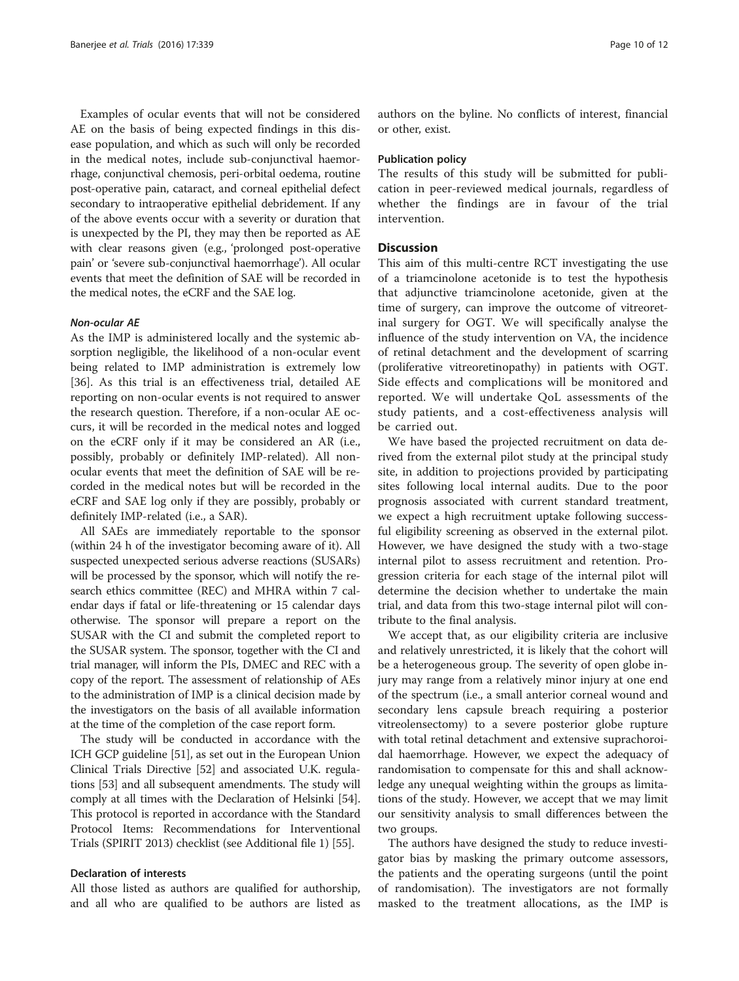Examples of ocular events that will not be considered AE on the basis of being expected findings in this disease population, and which as such will only be recorded in the medical notes, include sub-conjunctival haemorrhage, conjunctival chemosis, peri-orbital oedema, routine post-operative pain, cataract, and corneal epithelial defect secondary to intraoperative epithelial debridement. If any of the above events occur with a severity or duration that is unexpected by the PI, they may then be reported as AE with clear reasons given (e.g., 'prolonged post-operative pain' or 'severe sub-conjunctival haemorrhage'). All ocular events that meet the definition of SAE will be recorded in the medical notes, the eCRF and the SAE log.

#### Non-ocular AE

As the IMP is administered locally and the systemic absorption negligible, the likelihood of a non-ocular event being related to IMP administration is extremely low [[36\]](#page-11-0). As this trial is an effectiveness trial, detailed AE reporting on non-ocular events is not required to answer the research question. Therefore, if a non-ocular AE occurs, it will be recorded in the medical notes and logged on the eCRF only if it may be considered an AR (i.e., possibly, probably or definitely IMP-related). All nonocular events that meet the definition of SAE will be recorded in the medical notes but will be recorded in the eCRF and SAE log only if they are possibly, probably or definitely IMP-related (i.e., a SAR).

All SAEs are immediately reportable to the sponsor (within 24 h of the investigator becoming aware of it). All suspected unexpected serious adverse reactions (SUSARs) will be processed by the sponsor, which will notify the research ethics committee (REC) and MHRA within 7 calendar days if fatal or life-threatening or 15 calendar days otherwise. The sponsor will prepare a report on the SUSAR with the CI and submit the completed report to the SUSAR system. The sponsor, together with the CI and trial manager, will inform the PIs, DMEC and REC with a copy of the report. The assessment of relationship of AEs to the administration of IMP is a clinical decision made by the investigators on the basis of all available information at the time of the completion of the case report form.

The study will be conducted in accordance with the ICH GCP guideline [[51](#page-11-0)], as set out in the European Union Clinical Trials Directive [\[52\]](#page-11-0) and associated U.K. regulations [\[53](#page-11-0)] and all subsequent amendments. The study will comply at all times with the Declaration of Helsinki [[54](#page-11-0)]. This protocol is reported in accordance with the Standard Protocol Items: Recommendations for Interventional Trials (SPIRIT 2013) checklist (see Additional file [1](#page-10-0)) [[55](#page-11-0)].

### Declaration of interests

All those listed as authors are qualified for authorship, and all who are qualified to be authors are listed as authors on the byline. No conflicts of interest, financial or other, exist.

#### Publication policy

The results of this study will be submitted for publication in peer-reviewed medical journals, regardless of whether the findings are in favour of the trial intervention.

### **Discussion**

This aim of this multi-centre RCT investigating the use of a triamcinolone acetonide is to test the hypothesis that adjunctive triamcinolone acetonide, given at the time of surgery, can improve the outcome of vitreoretinal surgery for OGT. We will specifically analyse the influence of the study intervention on VA, the incidence of retinal detachment and the development of scarring (proliferative vitreoretinopathy) in patients with OGT. Side effects and complications will be monitored and reported. We will undertake QoL assessments of the study patients, and a cost-effectiveness analysis will be carried out.

We have based the projected recruitment on data derived from the external pilot study at the principal study site, in addition to projections provided by participating sites following local internal audits. Due to the poor prognosis associated with current standard treatment, we expect a high recruitment uptake following successful eligibility screening as observed in the external pilot. However, we have designed the study with a two-stage internal pilot to assess recruitment and retention. Progression criteria for each stage of the internal pilot will determine the decision whether to undertake the main trial, and data from this two-stage internal pilot will contribute to the final analysis.

We accept that, as our eligibility criteria are inclusive and relatively unrestricted, it is likely that the cohort will be a heterogeneous group. The severity of open globe injury may range from a relatively minor injury at one end of the spectrum (i.e., a small anterior corneal wound and secondary lens capsule breach requiring a posterior vitreolensectomy) to a severe posterior globe rupture with total retinal detachment and extensive suprachoroidal haemorrhage. However, we expect the adequacy of randomisation to compensate for this and shall acknowledge any unequal weighting within the groups as limitations of the study. However, we accept that we may limit our sensitivity analysis to small differences between the two groups.

The authors have designed the study to reduce investigator bias by masking the primary outcome assessors, the patients and the operating surgeons (until the point of randomisation). The investigators are not formally masked to the treatment allocations, as the IMP is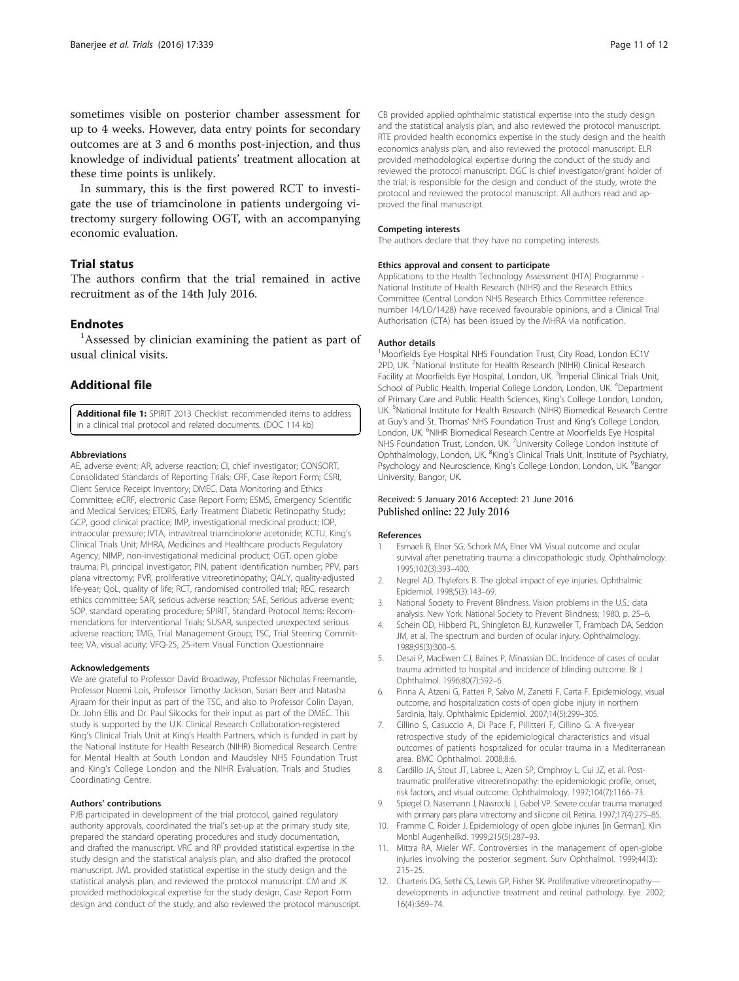<span id="page-10-0"></span>sometimes visible on posterior chamber assessment for up to 4 weeks. However, data entry points for secondary outcomes are at 3 and 6 months post-injection, and thus knowledge of individual patients' treatment allocation at these time points is unlikely.

In summary, this is the first powered RCT to investigate the use of triamcinolone in patients undergoing vitrectomy surgery following OGT, with an accompanying economic evaluation.

### Trial status

The authors confirm that the trial remained in active recruitment as of the 14th July 2016.

### **Endnotes**

<sup>1</sup>Assessed by clinician examining the patient as part of usual clinical visits.

### Additional file

[Additional file 1:](dx.doi.org/10.1186/s13063-016-1445-7) SPIRIT 2013 Checklist: recommended items to address in a clinical trial protocol and related documents. (DOC 114 kb)

#### Abbreviations

AE, adverse event; AR, adverse reaction; CI, chief investigator; CONSORT, Consolidated Standards of Reporting Trials; CRF, Case Report Form; CSRI, Client Service Receipt Inventory; DMEC, Data Monitoring and Ethics Committee; eCRF, electronic Case Report Form; ESMS, Emergency Scientific and Medical Services; ETDRS, Early Treatment Diabetic Retinopathy Study; GCP, good clinical practice; IMP, investigational medicinal product; IOP, intraocular pressure; IVTA, intravitreal triamcinolone acetonide; KCTU, King's Clinical Trials Unit; MHRA, Medicines and Healthcare products Regulatory Agency; NIMP, non-investigational medicinal product; OGT, open globe trauma; PI, principal investigator; PIN, patient identification number; PPV, pars plana vitrectomy; PVR, proliferative vitreoretinopathy; QALY, quality-adjusted life-year; QoL, quality of life; RCT, randomised controlled trial; REC, research ethics committee; SAR, serious adverse reaction; SAE, Serious adverse event; SOP, standard operating procedure; SPIRIT, Standard Protocol Items: Recommendations for Interventional Trials; SUSAR, suspected unexpected serious adverse reaction; TMG, Trial Management Group; TSC, Trial Steering Committee; VA, visual acuity; VFQ-25, 25-item Visual Function Questionnaire

#### Acknowledgements

We are grateful to Professor David Broadway, Professor Nicholas Freemantle, Professor Noemi Lois, Professor Timothy Jackson, Susan Beer and Natasha Ajraam for their input as part of the TSC, and also to Professor Colin Dayan, Dr. John Ellis and Dr. Paul Silcocks for their input as part of the DMEC. This study is supported by the U.K. Clinical Research Collaboration-registered King's Clinical Trials Unit at King's Health Partners, which is funded in part by the National Institute for Health Research (NIHR) Biomedical Research Centre for Mental Health at South London and Maudsley NHS Foundation Trust and King's College London and the NIHR Evaluation, Trials and Studies Coordinating Centre.

### Authors' contributions

PJB participated in development of the trial protocol, gained regulatory authority approvals, coordinated the trial's set-up at the primary study site, prepared the standard operating procedures and study documentation, and drafted the manuscript. VRC and RP provided statistical expertise in the study design and the statistical analysis plan, and also drafted the protocol manuscript. JWL provided statistical expertise in the study design and the statistical analysis plan, and reviewed the protocol manuscript. CM and JK provided methodological expertise for the study design, Case Report Form design and conduct of the study, and also reviewed the protocol manuscript. CB provided applied ophthalmic statistical expertise into the study design and the statistical analysis plan, and also reviewed the protocol manuscript. RTE provided health economics expertise in the study design and the health economics analysis plan, and also reviewed the protocol manuscript. ELR provided methodological expertise during the conduct of the study and reviewed the protocol manuscript. DGC is chief investigator/grant holder of the trial, is responsible for the design and conduct of the study, wrote the protocol and reviewed the protocol manuscript. All authors read and approved the final manuscript.

#### Competing interests

The authors declare that they have no competing interests.

#### Ethics approval and consent to participate

Applications to the Health Technology Assessment (HTA) Programme - National Institute of Health Research (NIHR) and the Research Ethics Committee (Central London NHS Research Ethics Committee reference number 14/LO/1428) have received favourable opinions, and a Clinical Trial Authorisation (CTA) has been issued by the MHRA via notification.

#### Author details

<sup>1</sup>Moorfields Eye Hospital NHS Foundation Trust, City Road, London EC1V 2PD, UK. <sup>2</sup>National Institute for Health Research (NIHR) Clinical Research Facility at Moorfields Eye Hospital, London, UK. <sup>3</sup>Imperial Clinical Trials Unit, School of Public Health, Imperial College London, London, UK. <sup>4</sup>Department of Primary Care and Public Health Sciences, King's College London, London, UK. <sup>5</sup>National Institute for Health Research (NIHR) Biomedical Research Centre at Guy's and St. Thomas' NHS Foundation Trust and King's College London, London, UK. <sup>6</sup>NIHR Biomedical Research Centre at Moorfields Eye Hospital NHS Foundation Trust, London, UK. <sup>7</sup>University College London Institute of Ophthalmology, London, UK. <sup>8</sup>King's Clinical Trials Unit, Institute of Psychiatry, Psychology and Neuroscience, King's College London, London, UK. <sup>9</sup>Bangor University, Bangor, UK.

### Received: 5 January 2016 Accepted: 21 June 2016 Published online: 22 July 2016

#### References

- 1. Esmaeli B, Elner SG, Schork MA, Elner VM. Visual outcome and ocular survival after penetrating trauma: a clinicopathologic study. Ophthalmology. 1995;102(3):393–400.
- 2. Negrel AD, Thylefors B. The global impact of eye injuries. Ophthalmic Epidemiol. 1998;5(3):143–69.
- 3. National Society to Prevent Blindness. Vision problems in the U.S.: data analysis. New York: National Society to Prevent Blindness; 1980. p. 25–6.
- 4. Schein OD, Hibberd PL, Shingleton BJ, Kunzweiler T, Frambach DA, Seddon JM, et al. The spectrum and burden of ocular injury. Ophthalmology. 1988;95(3):300–5.
- 5. Desai P, MacEwen CJ, Baines P, Minassian DC. Incidence of cases of ocular trauma admitted to hospital and incidence of blinding outcome. Br J Ophthalmol. 1996;80(7):592–6.
- 6. Pinna A, Atzeni G, Patteri P, Salvo M, Zanetti F, Carta F. Epidemiology, visual outcome, and hospitalization costs of open globe injury in northern Sardinia, Italy. Ophthalmic Epidemiol. 2007;14(5):299–305.
- 7. Cillino S, Casuccio A, Di Pace F, Pillitteri F, Cillino G. A five-year retrospective study of the epidemiological characteristics and visual outcomes of patients hospitalized for ocular trauma in a Mediterranean area. BMC Ophthalmol. 2008;8:6.
- 8. Cardillo JA, Stout JT, Labree L, Azen SP, Omphroy L, Cui JZ, et al. Posttraumatic proliferative vitreoretinopathy: the epidemiologic profile, onset, risk factors, and visual outcome. Ophthalmology. 1997;104(7):1166–73.
- Spiegel D, Nasemann J, Nawrocki J, Gabel VP. Severe ocular trauma managed with primary pars plana vitrectomy and silicone oil. Retina. 1997;17(4):275–85.
- 10. Framme C, Roider J. Epidemiology of open globe injuries [in German]. Klin Monbl Augenheilkd. 1999;215(5):287–93.
- 11. Mittra RA, Mieler WF. Controversies in the management of open-globe injuries involving the posterior segment. Surv Ophthalmol. 1999;44(3): 215–25.
- 12. Charteris DG, Sethi CS, Lewis GP, Fisher SK. Proliferative vitreoretinopathy developments in adjunctive treatment and retinal pathology. Eye. 2002; 16(4):369–74.